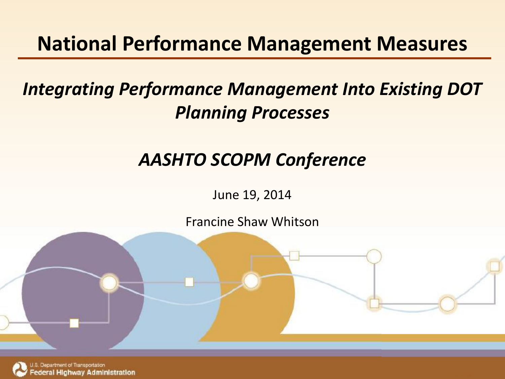#### **National Performance Management Measures**

#### **Mano** *subtitles*<br>Dina Proc *Integrating Performance Management Into Existing DOT Planning Processes*

### Date *AASHTO SCOPM Conference*

June 19, 2014

Francine Shaw Whitson

Federal Highway Administration



epartment of Transportation deral Highway Administration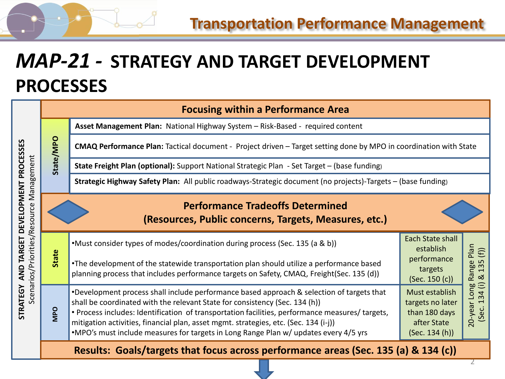#### *MAP-21 -* **STRATEGY AND TARGET DEVELOPMENT PROCESSES**

|                                                                   | <b>Focusing within a Performance Area</b>                                           |                                                                                                                                                                                                                                                                                                                                                                                                                                                             |                                                                                      |                                                                               |  |  |
|-------------------------------------------------------------------|-------------------------------------------------------------------------------------|-------------------------------------------------------------------------------------------------------------------------------------------------------------------------------------------------------------------------------------------------------------------------------------------------------------------------------------------------------------------------------------------------------------------------------------------------------------|--------------------------------------------------------------------------------------|-------------------------------------------------------------------------------|--|--|
|                                                                   | State/MPO                                                                           | Asset Management Plan: National Highway System - Risk-Based - required content                                                                                                                                                                                                                                                                                                                                                                              |                                                                                      |                                                                               |  |  |
|                                                                   |                                                                                     | CMAQ Performance Plan: Tactical document - Project driven - Target setting done by MPO in coordination with State                                                                                                                                                                                                                                                                                                                                           |                                                                                      |                                                                               |  |  |
| Management                                                        |                                                                                     | State Freight Plan (optional): Support National Strategic Plan - Set Target - (base funding)                                                                                                                                                                                                                                                                                                                                                                |                                                                                      |                                                                               |  |  |
|                                                                   |                                                                                     | Strategic Highway Safety Plan: All public roadways-Strategic document (no projects)-Targets - (base funding)                                                                                                                                                                                                                                                                                                                                                |                                                                                      |                                                                               |  |  |
| DEVELOPMENT PROCESSES                                             |                                                                                     | <b>Performance Tradeoffs Determined</b><br>(Resources, Public concerns, Targets, Measures, etc.)                                                                                                                                                                                                                                                                                                                                                            |                                                                                      |                                                                               |  |  |
| Scenarios/Priorities/Resource<br>TARGET<br>AND<br><b>STRATEGY</b> | State                                                                               | •Must consider types of modes/coordination during process (Sec. 135 (a & b))                                                                                                                                                                                                                                                                                                                                                                                | Each State shall<br>establish                                                        | Plan                                                                          |  |  |
|                                                                   |                                                                                     | •The development of the statewide transportation plan should utilize a performance based<br>planning process that includes performance targets on Safety, CMAQ, Freight(Sec. 135 (d))                                                                                                                                                                                                                                                                       | performance<br>targets<br>(Sec. 150 (c))                                             | (f)<br>$\mathsf{L}$<br>Range<br>$\overline{m}$<br>$\overline{ }$<br>$\propto$ |  |  |
|                                                                   | <b>OdM</b>                                                                          | *Development process shall include performance based approach & selection of targets that<br>shall be coordinated with the relevant State for consistency (Sec. 134 (h))<br>. Process includes: Identification of transportation facilities, performance measures/ targets,<br>mitigation activities, financial plan, asset mgmt. strategies, etc. (Sec. 134 (i-j))<br>.MPO's must include measures for targets in Long Range Plan w/ updates every 4/5 yrs | Must establish<br>targets no later<br>than 180 days<br>after State<br>(Sec. 134 (h)) | $\oplus$<br>20-year Long<br>34<br>$\overline{ }$<br>(Sec.                     |  |  |
|                                                                   | Results: Goals/targets that focus across performance areas (Sec. 135 (a) & 134 (c)) |                                                                                                                                                                                                                                                                                                                                                                                                                                                             |                                                                                      |                                                                               |  |  |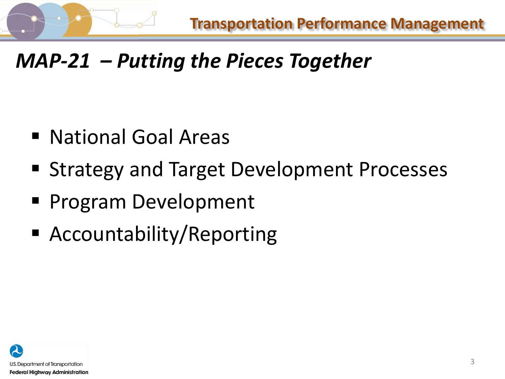

# *MAP-21 – Putting the Pieces Together*

- National Goal Areas
- **Exercise Strategy and Target Development Processes**
- **Program Development**
- Accountability/Reporting

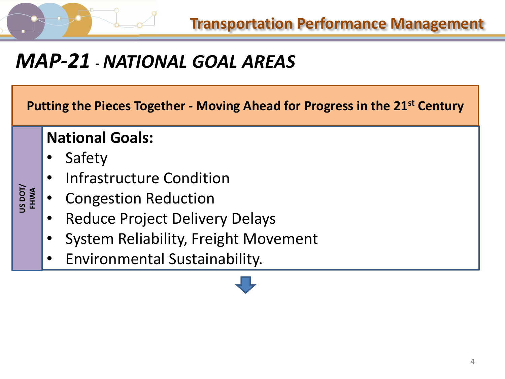**Transportation Performance Management**

### *MAP-21 -NATIONAL GOAL AREAS*

**Putting the Pieces Together - Moving Ahead for Progress in the 21st Century**

#### **National Goals:**

**Safety** 

**US DOT/ FHWA** 

- Infrastructure Condition
- Congestion Reduction
- Reduce Project Delivery Delays
- System Reliability, Freight Movement
- Environmental Sustainability.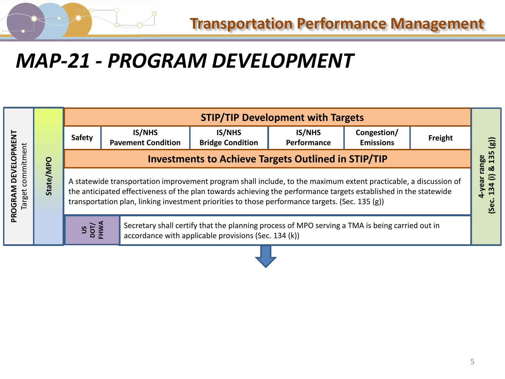

## *MAP-21 - PROGRAM DEVELOPMENT*

| <b>IS/NHS</b><br><b>IS/NHS</b><br><b>IS/NHS</b><br>Congestion/<br><b>DEVELOPMENT</b><br>Safety<br>Freight<br><b>Bridge Condition</b><br><b>Pavement Condition</b><br>Performance<br><b>Emissions</b><br>commitment<br><b>Investments to Achieve Targets Outlined in STIP/TIP</b><br>State/MPO<br>uea/-<br>A statewide transportation improvement program shall include, to the maximum extent practicable, a discussion of<br>the anticipated effectiveness of the plan towards achieving the performance targets established in the statewide |                   | <b>STIP/TIP Development with Targets</b>                                                        |  |  |  |  |  |
|------------------------------------------------------------------------------------------------------------------------------------------------------------------------------------------------------------------------------------------------------------------------------------------------------------------------------------------------------------------------------------------------------------------------------------------------------------------------------------------------------------------------------------------------|-------------------|-------------------------------------------------------------------------------------------------|--|--|--|--|--|
|                                                                                                                                                                                                                                                                                                                                                                                                                                                                                                                                                | PROGRAM<br>Target | $\widehat{g}$                                                                                   |  |  |  |  |  |
|                                                                                                                                                                                                                                                                                                                                                                                                                                                                                                                                                |                   | 135<br>pge<br>ఱ                                                                                 |  |  |  |  |  |
|                                                                                                                                                                                                                                                                                                                                                                                                                                                                                                                                                |                   | transportation plan, linking investment priorities to those performance targets. (Sec. 135 (g)) |  |  |  |  |  |
| US<br>NOT/<br>FHWA<br>Secretary shall certify that the planning process of MPO serving a TMA is being carried out in<br>accordance with applicable provisions (Sec. 134 (k))                                                                                                                                                                                                                                                                                                                                                                   |                   |                                                                                                 |  |  |  |  |  |

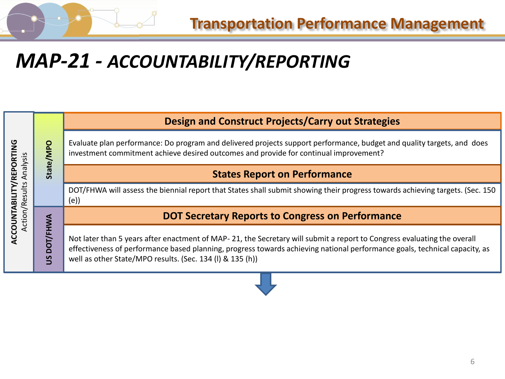

### *MAP-21 - ACCOUNTABILITY/REPORTING*

|                          | OdM/<br><b>State</b> | <b>Design and Construct Projects/Carry out Strategies</b>                                                                                                                                                                                                                                                          |
|--------------------------|----------------------|--------------------------------------------------------------------------------------------------------------------------------------------------------------------------------------------------------------------------------------------------------------------------------------------------------------------|
| <b>ORTING</b><br>nalysis |                      | Evaluate plan performance: Do program and delivered projects support performance, budget and quality targets, and does<br>investment commitment achieve desired outcomes and provide for continual improvement?                                                                                                    |
| 핉                        |                      | <b>States Report on Performance</b>                                                                                                                                                                                                                                                                                |
| ults<br><b>Res</b><br>ݠ  |                      | DOT/FHWA will assess the biennial report that States shall submit showing their progress towards achieving targets. (Sec. 150<br>(e)                                                                                                                                                                               |
| ction,                   |                      | <b>DOT Secretary Reports to Congress on Performance</b>                                                                                                                                                                                                                                                            |
| ACCOUNT                  | ႙ၟ<br><u>S</u>       | Not later than 5 years after enactment of MAP-21, the Secretary will submit a report to Congress evaluating the overall<br>effectiveness of performance based planning, progress towards achieving national performance goals, technical capacity, as<br>well as other State/MPO results. (Sec. 134 (I) & 135 (h)) |